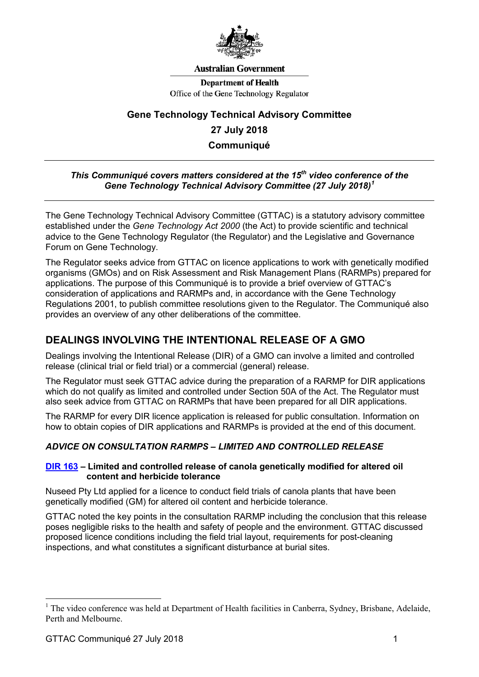

#### **Australian Government**

**Department of Health** Office of the Gene Technology Regulator

# **Gene Technology Technical Advisory Committee 27 July 2018 Communiqué**

### *This Communiqué covers matters considered at the 15th video conference of the Gene Technology Technical Advisory Committee (27 July 2018) [1](#page-0-0)*

The Gene Technology Technical Advisory Committee (GTTAC) is a statutory advisory committee established under the *Gene Technology Act 2000* (the Act) to provide scientific and technical advice to the Gene Technology Regulator (the Regulator) and the Legislative and Governance Forum on Gene Technology.

The Regulator seeks advice from GTTAC on licence applications to work with genetically modified organisms (GMOs) and on Risk Assessment and Risk Management Plans (RARMPs) prepared for applications. The purpose of this Communiqué is to provide a brief overview of GTTAC's consideration of applications and RARMPs and, in accordance with the Gene Technology Regulations 2001, to publish committee resolutions given to the Regulator. The Communiqué also provides an overview of any other deliberations of the committee.

# **DEALINGS INVOLVING THE INTENTIONAL RELEASE OF A GMO**

Dealings involving the Intentional Release (DIR) of a GMO can involve a limited and controlled release (clinical trial or field trial) or a commercial (general) release.

The Regulator must seek GTTAC advice during the preparation of a RARMP for DIR applications which do not qualify as limited and controlled under Section 50A of the Act. The Regulator must also seek advice from GTTAC on RARMPs that have been prepared for all DIR applications.

The RARMP for every DIR licence application is released for public consultation. Information on how to obtain copies of DIR applications and RARMPs is provided at the end of this document.

### *ADVICE ON CONSULTATION RARMPS – LIMITED AND CONTROLLED RELEASE*

#### **[DIR 163](http://www.ogtr.gov.au/internet/ogtr/publishing.nsf/Content/DIR163) – Limited and controlled release of canola genetically modified for altered oil content and herbicide tolerance**

Nuseed Pty Ltd applied for a licence to conduct field trials of canola plants that have been genetically modified (GM) for altered oil content and herbicide tolerance.

GTTAC noted the key points in the consultation RARMP including the conclusion that this release poses negligible risks to the health and safety of people and the environment. GTTAC discussed proposed licence conditions including the field trial layout, requirements for post-cleaning inspections, and what constitutes a significant disturbance at burial sites.

<span id="page-0-0"></span> $<sup>1</sup>$  The video conference was held at Department of Health facilities in Canberra, Sydney, Brisbane, Adelaide,</sup> Perth and Melbourne.